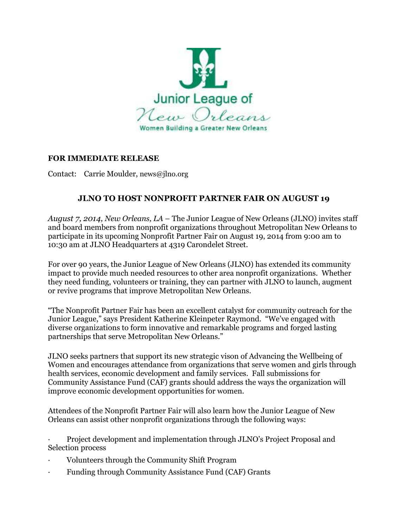

## **FOR IMMEDIATE RELEASE**

Contact: Carrie Moulder, news@jlno.org

## **JLNO TO HOST NONPROFIT PARTNER FAIR ON AUGUST 19**

*August 7, 2014, New Orleans, LA* – The Junior League of New Orleans (JLNO) invites staff and board members from nonprofit organizations throughout Metropolitan New Orleans to participate in its upcoming Nonprofit Partner Fair on August 19, 2014 from 9:00 am to 10:30 am at JLNO Headquarters at 4319 Carondelet Street.

For over 90 years, the Junior League of New Orleans (JLNO) has extended its community impact to provide much needed resources to other area nonprofit organizations. Whether they need funding, volunteers or training, they can partner with JLNO to launch, augment or revive programs that improve Metropolitan New Orleans.

"The Nonprofit Partner Fair has been an excellent catalyst for community outreach for the Junior League," says President Katherine Kleinpeter Raymond. "We've engaged with diverse organizations to form innovative and remarkable programs and forged lasting partnerships that serve Metropolitan New Orleans."

JLNO seeks partners that support its new strategic vison of Advancing the Wellbeing of Women and encourages attendance from organizations that serve women and girls through health services, economic development and family services. Fall submissions for Community Assistance Fund (CAF) grants should address the ways the organization will improve economic development opportunities for women.

Attendees of the Nonprofit Partner Fair will also learn how the Junior League of New Orleans can assist other nonprofit organizations through the following ways:

· Project development and implementation through JLNO's Project Proposal and Selection process

- · Volunteers through the Community Shift Program
- Funding through Community Assistance Fund (CAF) Grants